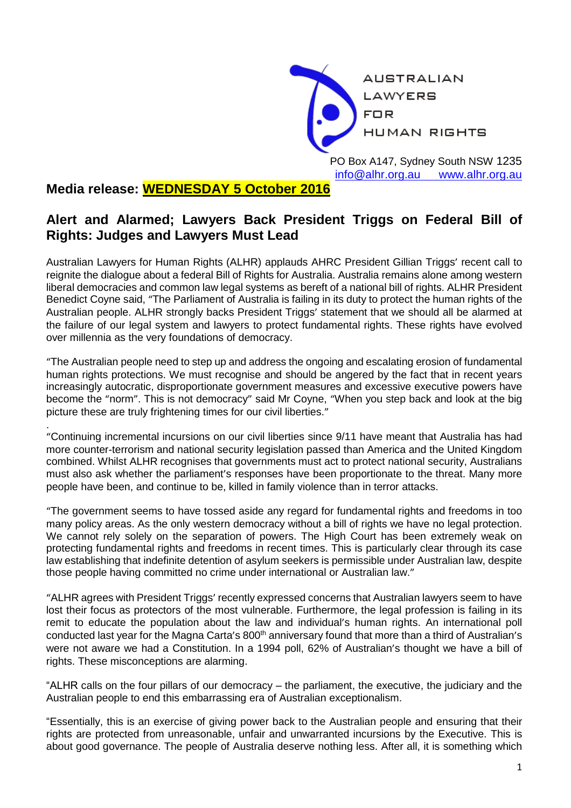

PO Box A147, Sydney South NSW 1235 [info@alhr.org.au](mailto:info@alhr.org.au) [www.alhr.org.au](http://www.alhr.org.au/)

## **Media release: WEDNESDAY 5 October 2016**

## **Alert and Alarmed; Lawyers Back President Triggs on Federal Bill of Rights: Judges and Lawyers Must Lead**

Australian Lawyers for Human Rights (ALHR) applauds AHRC President Gillian Triggs' recent call to reignite the dialogue about a federal Bill of Rights for Australia. Australia remains alone among western liberal democracies and common law legal systems as bereft of a national bill of rights. ALHR President Benedict Coyne said, "The Parliament of Australia is failing in its duty to protect the human rights of the Australian people. ALHR strongly backs President Triggs' statement that we should all be alarmed at the failure of our legal system and lawyers to protect fundamental rights. These rights have evolved over millennia as the very foundations of democracy.

"The Australian people need to step up and address the ongoing and escalating erosion of fundamental human rights protections. We must recognise and should be angered by the fact that in recent years increasingly autocratic, disproportionate government measures and excessive executive powers have become the "norm". This is not democracy" said Mr Coyne, "When you step back and look at the big picture these are truly frightening times for our civil liberties."

. "Continuing incremental incursions on our civil liberties since 9/11 have meant that Australia has had more counter-terrorism and national security legislation passed than America and the United Kingdom combined. Whilst ALHR recognises that governments must act to protect national security, Australians must also ask whether the parliament's responses have been proportionate to the threat. Many more people have been, and continue to be, killed in family violence than in terror attacks.

"The government seems to have tossed aside any regard for fundamental rights and freedoms in too many policy areas. As the only western democracy without a bill of rights we have no legal protection. We cannot rely solely on the separation of powers. The High Court has been extremely weak on protecting fundamental rights and freedoms in recent times. This is particularly clear through its case law establishing that indefinite detention of asylum seekers is permissible under Australian law, despite those people having committed no crime under international or Australian law."

"ALHR agrees with President Triggs' recently expressed concerns that Australian lawyers seem to have lost their focus as protectors of the most vulnerable. Furthermore, the legal profession is failing in its remit to educate the population about the law and individual's human rights. An international poll conducted last year for the Magna Carta's 800<sup>th</sup> anniversary found that more than a third of Australian's were not aware we had a Constitution. In a 1994 poll, 62% of Australian's thought we have a bill of rights. These misconceptions are alarming.

"ALHR calls on the four pillars of our democracy – the parliament, the executive, the judiciary and the Australian people to end this embarrassing era of Australian exceptionalism.

"Essentially, this is an exercise of giving power back to the Australian people and ensuring that their rights are protected from unreasonable, unfair and unwarranted incursions by the Executive. This is about good governance. The people of Australia deserve nothing less. After all, it is something which